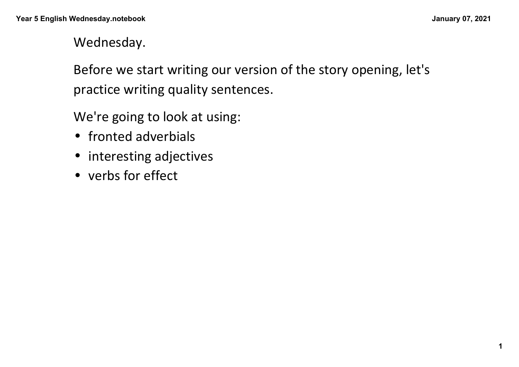Wednesday.

Before we start writing our version of the story opening, let's practice writing quality sentences.

We're going to look at using:

- fronted adverbials
- interesting adjectives
- verbs for effect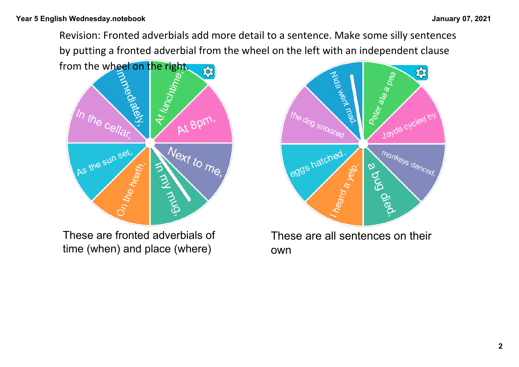Revision: Fronted adverbials add more detail to a sentence. Make some silly sentences by putting a fronted adverbial from the wheel on the left with an independent clause



These are fronted adverbials of time (when) and place (where)



These are all sentences on their own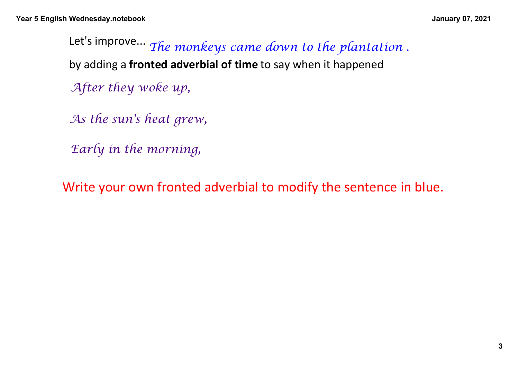*After they woke up,*  Let's improve... *The monkeys came down to the plantation .* by adding a **fronted adverbial of time** to say when it happened

*As the sun's heat grew,* 

*Early in the morning,* 

Write your own fronted adverbial to modify the sentence in blue.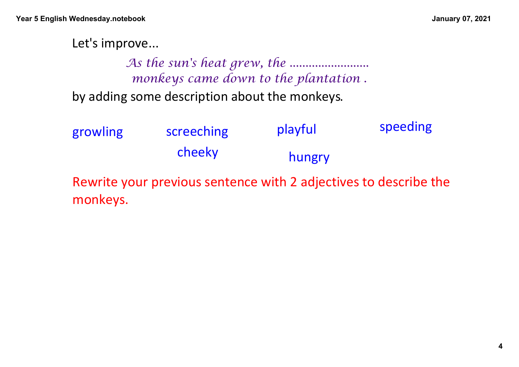Let's improve...

by adding some description about the monkeys.  *As the sun's heat grew, the ......................... monkeys came down to the plantation .*

| growling | screeching                                                      | playful | speeding |
|----------|-----------------------------------------------------------------|---------|----------|
|          | cheeky                                                          | hungry  |          |
|          | Rewrite vour previous sentence with 2 adjectives to describe th |         |          |

Rewrite your previous sentence with 2 adjectives to describe the monkeys.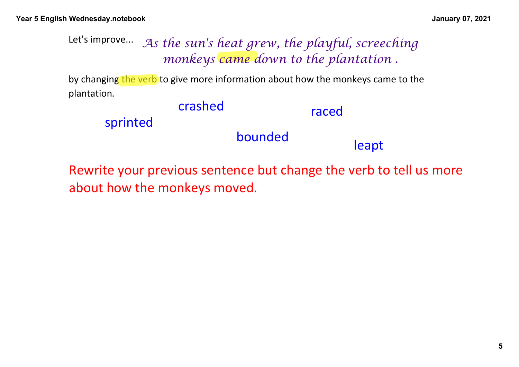## Let's improve...  *As the sun's heat grew, the playful, screeching monkeys came down to the plantation .*

by changing the verb to give more information about how the monkeys came to the plantation.

crashed bounded leapt sprinted raced

Rewrite your previous sentence but change the verb to tell us more about how the monkeys moved.